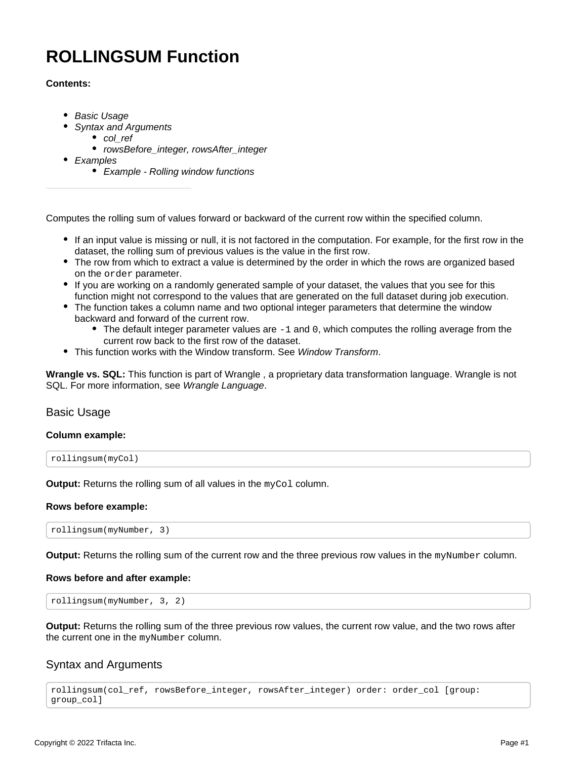# **ROLLINGSUM Function**

# **Contents:**

- [Basic Usage](#page-0-0)
	- [Syntax and Arguments](#page-0-1)
		- [col\\_ref](#page-1-0)
		- rowsBefore integer, rowsAfter integer
- [Examples](#page-1-2)
	- [Example Rolling window functions](#page-1-3)

Computes the rolling sum of values forward or backward of the current row within the specified column.

- If an input value is missing or null, it is not factored in the computation. For example, for the first row in the dataset, the rolling sum of previous values is the value in the first row.
- The row from which to extract a value is determined by the order in which the rows are organized based on the order parameter.
- If you are working on a randomly generated sample of your dataset, the values that you see for this function might not correspond to the values that are generated on the full dataset during job execution.
- The function takes a column name and two optional integer parameters that determine the window backward and forward of the current row.
	- $\bullet$  The default integer parameter values are  $-1$  and 0, which computes the rolling average from the current row back to the first row of the dataset.
- This function works with the Window transform. See [Window Transform](https://docs.trifacta.com/display/AWS/Window+Transform).

**Wrangle vs. SQL:** This function is part of Wrangle , a proprietary data transformation language. Wrangle is not SQL. For more information, see [Wrangle Language](https://docs.trifacta.com/display/AWS/Wrangle+Language).

# <span id="page-0-0"></span>Basic Usage

#### **Column example:**

rollingsum(myCol)

**Output:** Returns the rolling sum of all values in the myCol column.

#### **Rows before example:**

rollingsum(myNumber, 3)

**Output:** Returns the rolling sum of the current row and the three previous row values in the myNumber column.

#### **Rows before and after example:**

rollingsum(myNumber, 3, 2)

**Output:** Returns the rolling sum of the three previous row values, the current row value, and the two rows after the current one in the myNumber column.

# <span id="page-0-1"></span>Syntax and Arguments

rollingsum(col\_ref, rowsBefore\_integer, rowsAfter\_integer) order: order\_col [group: group\_col]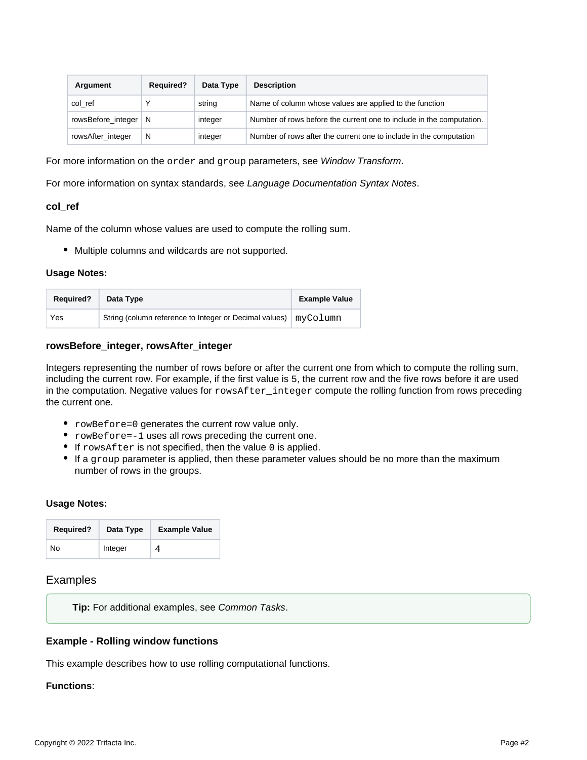| Argument               | <b>Required?</b> | Data Type | <b>Description</b>                                                   |
|------------------------|------------------|-----------|----------------------------------------------------------------------|
| col ref                |                  | string    | Name of column whose values are applied to the function              |
| rowsBefore_integer   N |                  | integer   | Number of rows before the current one to include in the computation. |
| rowsAfter_integer      | N                | integer   | Number of rows after the current one to include in the computation   |

For more information on the order and group parameters, see [Window Transform](https://docs.trifacta.com/display/AWS/Window+Transform).

For more information on syntax standards, see [Language Documentation Syntax Notes](https://docs.trifacta.com/display/AWS/Language+Documentation+Syntax+Notes).

#### <span id="page-1-0"></span>**col\_ref**

Name of the column whose values are used to compute the rolling sum.

Multiple columns and wildcards are not supported.

#### **Usage Notes:**

| <b>Required?</b> | Data Type                                                         | <b>Example Value</b> |
|------------------|-------------------------------------------------------------------|----------------------|
| Yes              | String (column reference to Integer or Decimal values)   myColumn |                      |

# <span id="page-1-1"></span>**rowsBefore\_integer, rowsAfter\_integer**

Integers representing the number of rows before or after the current one from which to compute the rolling sum, including the current row. For example, if the first value is 5, the current row and the five rows before it are used in the computation. Negative values for rowsAfter\_integer compute the rolling function from rows preceding the current one.

- rowBefore=0 generates the current row value only.
- rowBefore=-1 uses all rows preceding the current one.
- $\bullet$  If rowsAfter is not specified, then the value 0 is applied.
- If a group parameter is applied, then these parameter values should be no more than the maximum number of rows in the groups.

#### **Usage Notes:**

| <b>Required?</b> | Data Type | <b>Example Value</b> |
|------------------|-----------|----------------------|
| No               | Integer   |                      |

#### <span id="page-1-2"></span>Examples

**Tip:** For additional examples, see [Common Tasks](https://docs.trifacta.com/display/AWS/Common+Tasks).

#### <span id="page-1-3"></span>**Example - Rolling window functions**

This example describes how to use rolling computational functions.

# **Functions**: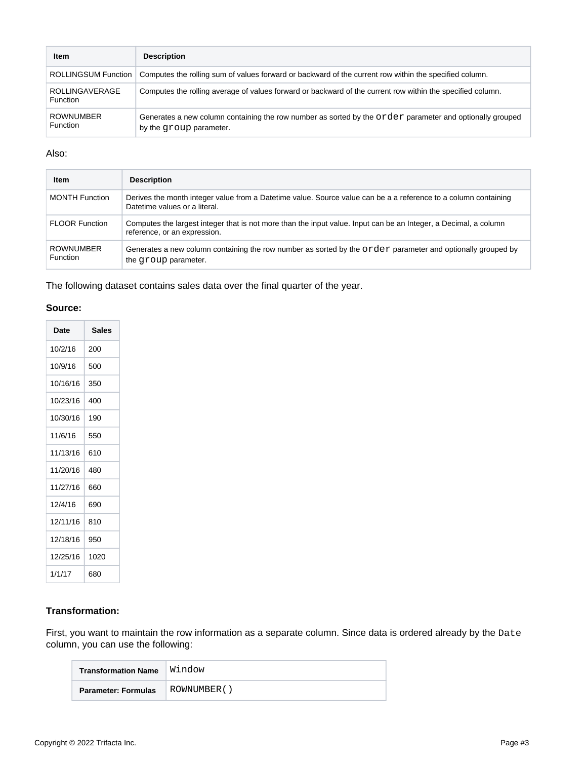| Item                                | <b>Description</b>                                                                                                                  |
|-------------------------------------|-------------------------------------------------------------------------------------------------------------------------------------|
| ROLLINGSUM Function                 | Computes the rolling sum of values forward or backward of the current row within the specified column.                              |
| <b>ROLLINGAVERAGE</b><br>Function   | Computes the rolling average of values forward or backward of the current row within the specified column.                          |
| <b>ROWNUMBER</b><br><b>Function</b> | Generates a new column containing the row number as sorted by the order parameter and optionally grouped<br>by the group parameter. |

# Also:

| <b>Item</b>                         | <b>Description</b>                                                                                                                               |
|-------------------------------------|--------------------------------------------------------------------------------------------------------------------------------------------------|
| <b>MONTH Function</b>               | Derives the month integer value from a Datetime value. Source value can be a a reference to a column containing<br>Datetime values or a literal. |
| <b>FLOOR Function</b>               | Computes the largest integer that is not more than the input value. Input can be an Integer, a Decimal, a column<br>reference, or an expression. |
| <b>ROWNUMBER</b><br><b>Function</b> | Generates a new column containing the row number as sorted by the $\alpha$ parameter and optionally grouped by<br>the group parameter.           |

The following dataset contains sales data over the final quarter of the year.

# **Source:**

| Date     | <b>Sales</b> |
|----------|--------------|
| 10/2/16  | 200          |
| 10/9/16  | 500          |
| 10/16/16 | 350          |
| 10/23/16 | 400          |
| 10/30/16 | 190          |
| 11/6/16  | 550          |
| 11/13/16 | 610          |
| 11/20/16 | 480          |
| 11/27/16 | 660          |
| 12/4/16  | 690          |
| 12/11/16 | 810          |
| 12/18/16 | 950          |
| 12/25/16 | 1020         |
| 1/1/17   | 680          |

# **Transformation:**

First, you want to maintain the row information as a separate column. Since data is ordered already by the Date column, you can use the following:

| <b>Transformation Name</b> | Window      |
|----------------------------|-------------|
| <b>Parameter: Formulas</b> | ROWNUMBER() |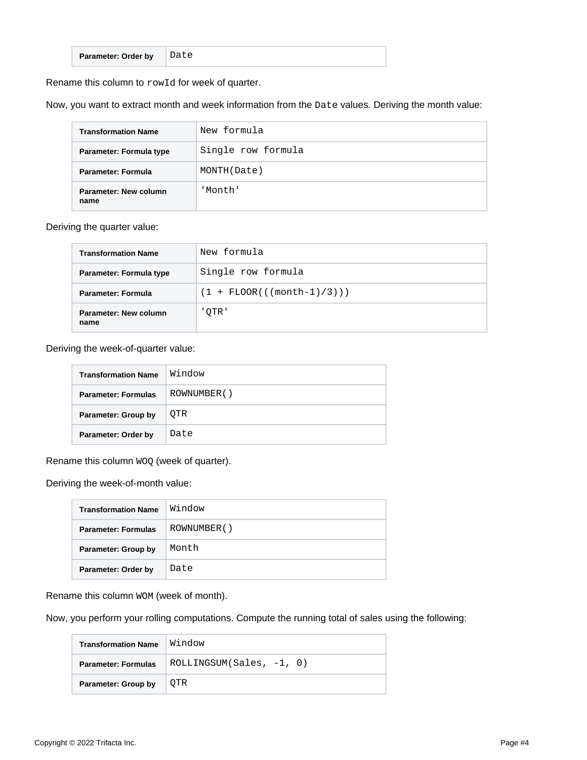| Parameter: Order by |
|---------------------|
|---------------------|

Rename this column to rowId for week of quarter.

Now, you want to extract month and week information from the Date values. Deriving the month value:

| <b>Transformation Name</b>    | New formula        |
|-------------------------------|--------------------|
| Parameter: Formula type       | Single row formula |
| Parameter: Formula            | MONTH(Date)        |
| Parameter: New column<br>name | 'Month'            |

#### Deriving the quarter value:

| <b>Transformation Name</b>    | New formula                  |
|-------------------------------|------------------------------|
| Parameter: Formula type       | Single row formula           |
| <b>Parameter: Formula</b>     | $(1 + FLOOR(((month-1)/3)))$ |
| Parameter: New column<br>name | 'OTR'                        |

# Deriving the week-of-quarter value:

| <b>Transformation Name</b> | Window      |
|----------------------------|-------------|
| <b>Parameter: Formulas</b> | ROWNUMBER() |
| Parameter: Group by        | OTR         |
| Parameter: Order by        | Date        |

Rename this column  $WOQ$  (week of quarter).

Deriving the week-of-month value:

| <b>Transformation Name</b> | Window      |
|----------------------------|-------------|
| <b>Parameter: Formulas</b> | ROWNUMBER() |
| Parameter: Group by        | Month       |
| Parameter: Order by        | Date        |

Rename this column WOM (week of month).

Now, you perform your rolling computations. Compute the running total of sales using the following:

| <b>Transformation Name</b> | Window                     |  |  |
|----------------------------|----------------------------|--|--|
| <b>Parameter: Formulas</b> | $ROLLINGSUM(Sales, -1, 0)$ |  |  |
| Parameter: Group by        | OTR                        |  |  |